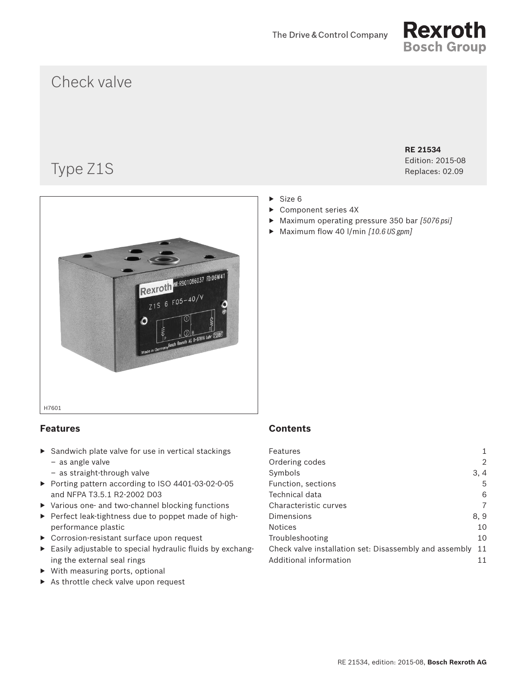

# Check valve

# Type Z1S

**RE 21534** Edition: 2015-08

Replaces: 02.09



# **Features**

- ▶ Sandwich plate valve for use in vertical stackings – as angle valve
	- as straight-through valve
- ▶ Porting pattern according to ISO 4401-03-02-0-05 and NFPA T3.5.1 R2-2002 D03
- ▶ Various one- and two-channel blocking functions
- ▶ Perfect leak-tightness due to poppet made of highperformance plastic
- ▶ Corrosion-resistant surface upon request
- ▶ Easily adjustable to special hydraulic fluids by exchanging the external seal rings
- ▶ With measuring ports, optional
- ▶ As throttle check valve upon request

### $\triangleright$  Size 6

- ▶ Component series 4X
- ▶ Maximum operating pressure 350 bar *[5076 psi]*
- ▶ Maximum flow 40 l/min *[10.6 US gpm]*

# **Contents**

| Features                                               |      |
|--------------------------------------------------------|------|
| Ordering codes                                         |      |
| Symbols                                                | 3, 4 |
| Function, sections                                     | 5    |
| Technical data                                         | 6    |
| Characteristic curves                                  |      |
| Dimensions                                             | 8.9  |
| <b>Notices</b>                                         | 10   |
| Troubleshooting                                        | 10   |
| Check valve installation set: Disassembly and assembly | 11   |
| Additional information                                 |      |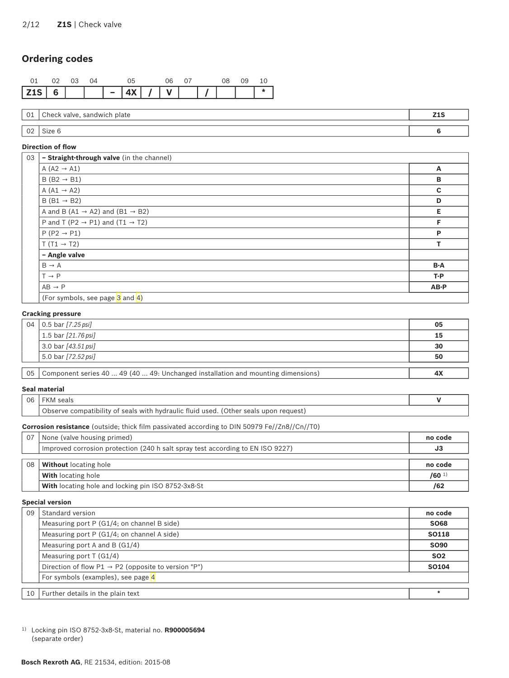# <span id="page-1-0"></span>**Ordering codes**



| $\sim$<br>◡∸          | Chec:<br>plate<br>$\sim$<br>uldw'<br>ושו | 213<br>-- |
|-----------------------|------------------------------------------|-----------|
|                       |                                          |           |
| $\sim$<br>$V_{\rm A}$ | $rac{1}{2}$                              |           |

#### **Direction of flow**

| 03 | - Straight-through valve (in the channel)               |             |
|----|---------------------------------------------------------|-------------|
|    | A $(A2 \rightarrow A1)$                                 | A           |
|    | $B(B2 \rightarrow B1)$                                  | B           |
|    | A $(A1 \rightarrow A2)$                                 | $\mathbf c$ |
|    | $B(B1 \rightarrow B2)$                                  | D           |
|    | A and B (A1 $\rightarrow$ A2) and (B1 $\rightarrow$ B2) | E           |
|    | P and T (P2 $\rightarrow$ P1) and (T1 $\rightarrow$ T2) | F           |
|    | $P(P2 \rightarrow P1)$                                  | P           |
|    | $T(T1 \rightarrow T2)$                                  | т           |
|    | - Angle valve                                           |             |
|    | $B \rightarrow A$                                       | B-A         |
|    | $T \rightarrow P$                                       | $T - P$     |
|    | $AB \rightarrow P$                                      | AB-P        |
|    | (For symbols, see page 3 and 4)                         |             |

#### **Cracking pressure**

|                 | 04   0.5 bar $[7.25 \text{ psi}]$                                                | 05 |
|-----------------|----------------------------------------------------------------------------------|----|
|                 | 1.5 bar $[21.76 \text{ psi}]$                                                    | 15 |
|                 | 3.0 bar [43.51 psi]                                                              | 30 |
|                 | 5.0 bar [72.52 psi]                                                              | 50 |
|                 |                                                                                  |    |
| 05 <sub>1</sub> | Component series 40  49 (40  49: Unchanged installation and mounting dimensions) | 4X |

### **Seal material**

| 06 |                                                                                                                |  |
|----|----------------------------------------------------------------------------------------------------------------|--|
|    | i seals with hydraulic fluid.<br>hezil<br><b>Other</b><br>$\sim$ tinility of $\sim$<br>reauesì<br><b>SASIS</b> |  |

#### **Corrosion resistance** (outside; thick film passivated according to DIN 50979 Fe//Zn8//Cn//T0)

| 07 | None (valve housing primed)                                                    | no code   |
|----|--------------------------------------------------------------------------------|-----------|
|    | Improved corrosion protection (240 h salt spray test according to EN ISO 9227) | JЗ        |
|    |                                                                                |           |
| 08 | <b>Without</b> locating hole                                                   | no code   |
|    | <b>With</b> locating hole                                                      | $/60^{1}$ |
|    | With locating hole and locking pin ISO 8752-3x8-St                             | /62       |

#### **Special version**

| 09 | Standard version                                                | no code      |
|----|-----------------------------------------------------------------|--------------|
|    | Measuring port P (G1/4; on channel B side)                      | <b>SO68</b>  |
|    | Measuring port P (G1/4; on channel A side)                      | <b>SO118</b> |
|    | Measuring port A and B $(G1/4)$                                 | <b>SO90</b>  |
|    | Measuring port $T(G1/4)$                                        | <b>SO2</b>   |
|    | Direction of flow $P1 \rightarrow P2$ (opposite to version "P") | SO104        |
|    | For symbols (examples), see page 4                              |              |
|    |                                                                 |              |
| 10 | Further details in the plain text                               |              |

1) Locking pin ISO 8752-3x8-St, material no. **R900005694** (separate order)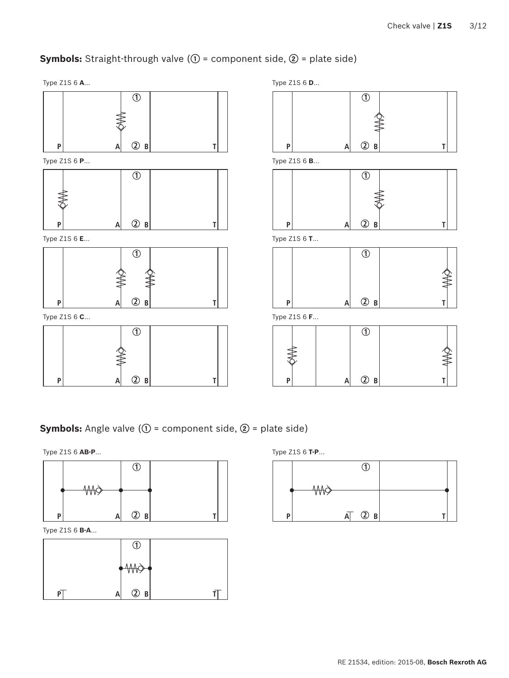# <span id="page-2-1"></span><span id="page-2-0"></span>**Symbols:** Straight-through valve (**①** = component side, **②** = plate side)







Type Z1S 6 **C**… Type Z1S 6 **F**…



Type Z1S 6 **A**… Type Z1S 6 **D**… **1 P A 2 B T 1 2 P A 2 B T P A B T** Type Z1S 6 **E**… Type Z1S 6 **T**… **1** ≸  $P$   $A$   $Q$  **B** 



**Symbols:** Angle valve (**①** = component side, **②** = plate side)





Type Z1S 6 **B-A**…



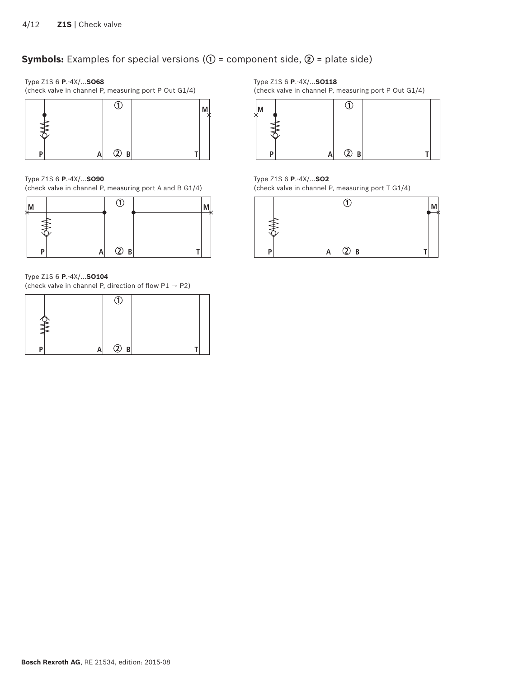# <span id="page-3-1"></span><span id="page-3-0"></span>**Symbols:** Examples for special versions (**①** = component side, **②** = plate side)

Type Z1S 6 **P**.-4X/…**SO68**

(check valve in channel P, measuring port P Out G1/4)

| ם | $\circled{2}$ B |  |  |
|---|-----------------|--|--|

Type Z1S 6 **P**.-4X/…**SO90**

(check valve in channel P, measuring port A and B G1/4)



Type Z1S 6 **P**.-4X/…**SO104**

(check valve in channel P, direction of flow  $P1 \rightarrow P2$ )



Type Z1S 6 **P**.-4X/…**SO118**

(check valve in channel P, measuring port P Out G1/4)



Type Z1S 6 **P**.-4X/…**SO2** (check valve in channel P, measuring port T G1/4)

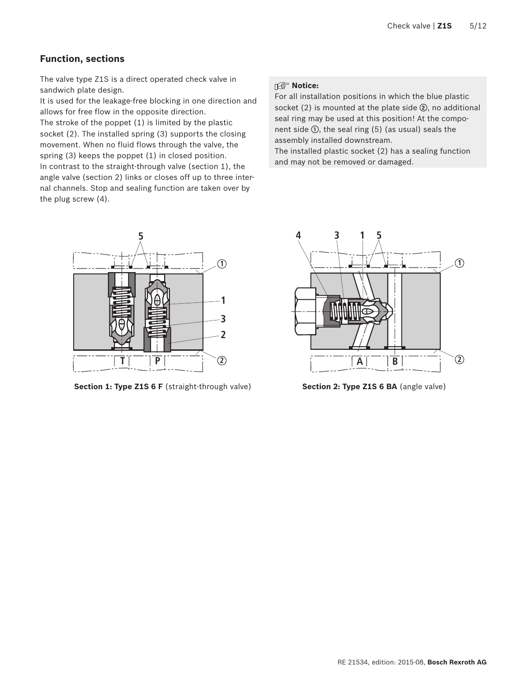### <span id="page-4-0"></span>**Function, sections**

The valve type Z1S is a direct operated check valve in sandwich plate design.

It is used for the leakage-free blocking in one direction and allows for free flow in the opposite direction. The stroke of the poppet (1) is limited by the plastic socket (2). The installed spring (3) supports the closing movement. When no fluid flows through the valve, the spring (3) keeps the poppet (1) in closed position. In contrast to the straight-through valve (section 1), the angle valve (section 2) links or closes off up to three internal channels. Stop and sealing function are taken over by the plug screw (4).

# **I** Notice:

For all installation positions in which the blue plastic socket (2) is mounted at the plate side **②**, no additional seal ring may be used at this position! At the component side **①**, the seal ring (5) (as usual) seals the assembly installed downstream.

The installed plastic socket (2) has a sealing function and may not be removed or damaged.



**Section 1: Type Z1S 6 F** (straight-through valve) **Section 2: Type Z1S 6 BA** (angle valve)

![](_page_4_Figure_9.jpeg)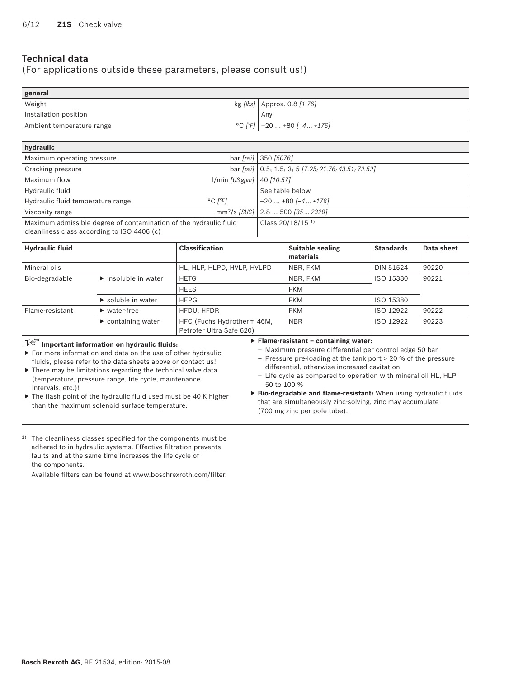## <span id="page-5-0"></span>**Technical data**

### (For applications outside these parameters, please consult us!)

| general                   |                                          |
|---------------------------|------------------------------------------|
| Weight                    | kg [ <i>lbs</i> ]   Approx. 0.8 $[1.76]$ |
| Installation position     | Anv                                      |
| Ambient temperature range | $°C$ [F] $\vert$ -20  +80 [-4  +176]     |
|                           |                                          |

| hydraulic                                                         |                               |                                                                        |
|-------------------------------------------------------------------|-------------------------------|------------------------------------------------------------------------|
| Maximum operating pressure                                        |                               | bar [psi] 350 [5076]                                                   |
| Cracking pressure                                                 |                               | bar [psi] $\vert 0.5; 1.5; 3; 5 \vert 7.25; 21.76; 43.51; 72.52 \vert$ |
| Maximum flow                                                      | $1/min [US gpm]$ 40 $[10.57]$ |                                                                        |
| Hydraulic fluid                                                   |                               | See table below                                                        |
| Hydraulic fluid temperature range                                 | $^{\circ}$ C I $^{\circ}$ FI  | $-20$ +80 $[-4$ +176]                                                  |
| Viscosity range                                                   |                               | mm <sup>2</sup> /s [SUS] 2.8  500 [35  2320]                           |
| Maximum admissible degree of contamination of the hydraulic fluid |                               | Class 20/18/15 1)                                                      |
| cleanliness class according to ISO 4406 (c)                       |                               |                                                                        |

| <b>Hydraulic fluid</b> |                                     | <b>Classification</b>                                  | <b>Suitable sealing</b><br>materials | <b>Standards</b> | Data sheet |
|------------------------|-------------------------------------|--------------------------------------------------------|--------------------------------------|------------------|------------|
| Mineral oils           |                                     | HL, HLP, HLPD, HVLP, HVLPD                             | NBR, FKM                             | <b>DIN 51524</b> | 90220      |
| Bio-degradable         | $\triangleright$ insoluble in water | <b>HETG</b>                                            | NBR, FKM                             | ISO 15380        | 90221      |
|                        |                                     | <b>HEES</b>                                            | <b>FKM</b>                           |                  |            |
|                        | $\triangleright$ soluble in water   | <b>HEPG</b>                                            | <b>FKM</b>                           | ISO 15380        |            |
| Flame-resistant        | $\blacktriangleright$ water-free    | HFDU, HFDR                                             | <b>FKM</b>                           | ISO 12922        | 90222      |
|                        | $\triangleright$ containing water   | HFC (Fuchs Hydrotherm 46M,<br>Petrofer Ultra Safe 620) | <b>NBR</b>                           | ISO 12922        | 90223      |

## **Important information on hydraulic fluids:**

#### ▶ **Flame-resistant – containing water:**

▶ For more information and data on the use of other hydraulic fluids, please refer to the data sheets above or contact us!

▶ There may be limitations regarding the technical valve data (temperature, pressure range, life cycle, maintenance intervals, etc.)!

▶ The flash point of the hydraulic fluid used must be 40 K higher than the maximum solenoid surface temperature.

– Maximum pressure differential per control edge 50 bar – Pressure pre-loading at the tank port > 20 % of the pressure differential, otherwise increased cavitation

– Life cycle as compared to operation with mineral oil HL, HLP 50 to 100 %

▶ **Bio-degradable and flame-resistant:** When using hydraulic fluids that are simultaneously zinc-solving, zinc may accumulate (700 mg zinc per pole tube).

1) The cleanliness classes specified for the components must be adhered to in hydraulic systems. Effective filtration prevents faults and at the same time increases the life cycle of the components.

Available filters can be found at www.boschrexroth.com/filter.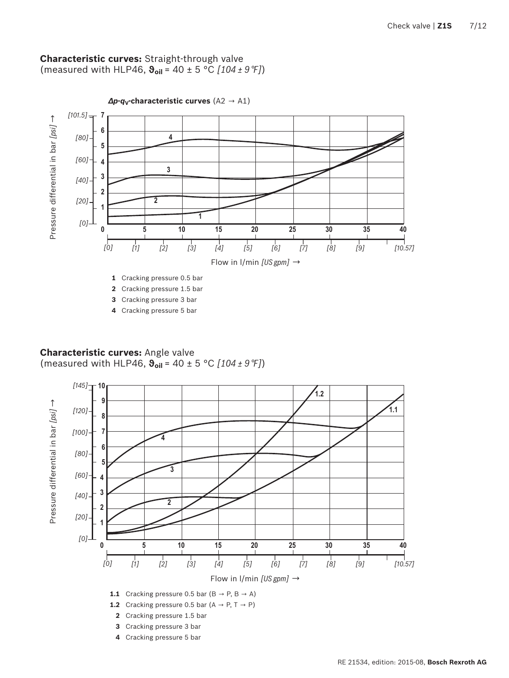### <span id="page-6-0"></span>**Characteristic curves:** Straight-through valve (measured with HLP46, **ϑoil** = 40 ± 5 °C *[104 ± 9 °F]*)

![](_page_6_Figure_2.jpeg)

**4** Cracking pressure 5 bar

## **Characteristic curves:** Angle valve (measured with HLP46, **ϑoil** = 40 ± 5 °C *[104 ± 9 °F]*)

![](_page_6_Figure_5.jpeg)

**4** Cracking pressure 5 bar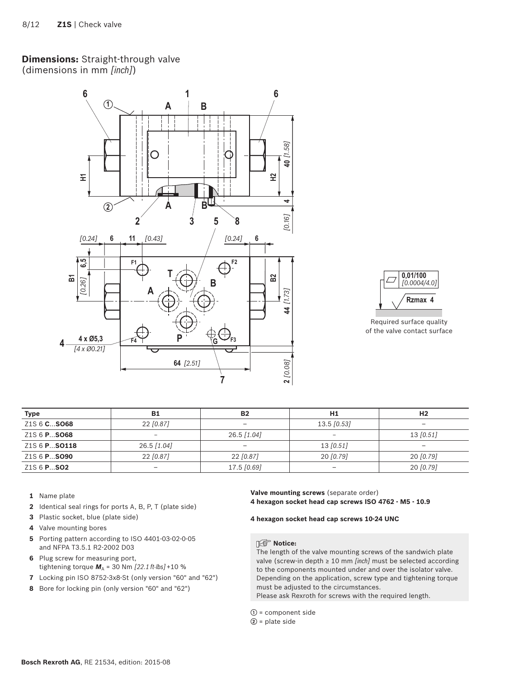# <span id="page-7-0"></span>**Dimensions:** Straight-through valve

(dimensions in mm *[inch]*)

![](_page_7_Figure_3.jpeg)

![](_page_7_Figure_4.jpeg)

Required surface quality of the valve contact surface

| <b>Type</b>                     | <b>B1</b>                    | <b>B2</b>       | H1                       | H <sub>2</sub>           |
|---------------------------------|------------------------------|-----------------|--------------------------|--------------------------|
| Z <sub>1</sub> S 6 <b>CSO68</b> | 22 [0.87]                    |                 | $13.5$ [0.53]            |                          |
| Z <sub>1</sub> S 6 <b>PSO68</b> | $\overline{\phantom{0}}$     | 26.5 [1.04]     | $\overline{\phantom{0}}$ | 13 [0.51]                |
| Z1S 6 PSO118                    | 26.5 [1.04]                  | $\qquad \qquad$ | 13 [0.51]                | $\overline{\phantom{a}}$ |
| Z <sub>1</sub> S 6 <b>PSO90</b> | $22$ [0.87]                  | $22$ [0.87]     | 20 [0.79]                | 20 [0.79]                |
| Z1S 6 <b>PSO2</b>               | $\qquad \qquad \blacksquare$ | 17.5 [0.69]     |                          | 20 [0.79]                |

- **1** Name plate
- **2** Identical seal rings for ports A, B, P, T (plate side)
- **3** Plastic socket, blue (plate side)
- **4** Valve mounting bores
- **5** Porting pattern according to ISO 4401-03-02-0-05 and NFPA T3.5.1 R2-2002 D03
- **6** Plug screw for measuring port, tightening torque  $M_A$  = 30 Nm  $[22.1 \text{ ft-lbs}] + 10 \%$
- **7** Locking pin ISO 8752-3x8-St (only version "60" and "62")
- **8** Bore for locking pin (only version "60" and "62")

**Valve mounting screws** (separate order) **4 hexagon socket head cap screws ISO 4762 - M5 - 10.9**

**4 hexagon socket head cap screws 10-24 UNC**

### **I**f<sup></sup> Notice:

The length of the valve mounting screws of the sandwich plate valve (screw-in depth ≥ 10 mm *[inch]* must be selected according to the components mounted under and over the isolator valve. Depending on the application, screw type and tightening torque must be adjusted to the circumstances.

Please ask Rexroth for screws with the required length.

- **①** = component side
- **②** = plate side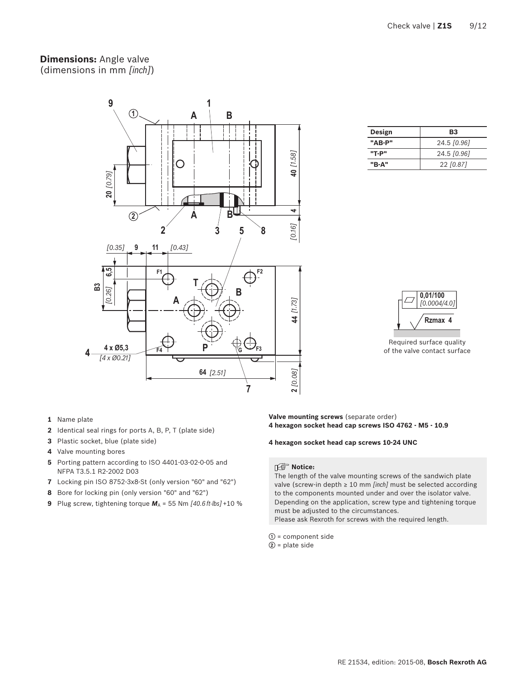### <span id="page-8-0"></span>**Dimensions:** Angle valve (dimensions in mm *[inch]*)

![](_page_8_Figure_2.jpeg)

| Design | B3          |
|--------|-------------|
| "AB-P" | 24.5 [0.96] |
| "T-P"  | 24.5 [0.96] |
| "B-A"  | 22 [0.87]   |

![](_page_8_Figure_4.jpeg)

Required surface quality of the valve contact surface

- **1** Name plate
- **2** Identical seal rings for ports A, B, P, T (plate side)
- **3** Plastic socket, blue (plate side)
- **4** Valve mounting bores
- **5** Porting pattern according to ISO 4401-03-02-0-05 and NFPA T3.5.1 R2-2002 D03
- **7** Locking pin ISO 8752-3x8-St (only version "60" and "62")
- **8** Bore for locking pin (only version "60" and "62")
- **9** Plug screw, tightening torque  $M_A$  = 55 Nm  $[40.6 \text{ ft-lbs}]$  +10 %

**Valve mounting screws** (separate order) **4 hexagon socket head cap screws ISO 4762 - M5 - 10.9**

#### **4 hexagon socket head cap screws 10-24 UNC**

#### **Notice:**

The length of the valve mounting screws of the sandwich plate valve (screw-in depth ≥ 10 mm *[inch]* must be selected according to the components mounted under and over the isolator valve. Depending on the application, screw type and tightening torque must be adjusted to the circumstances.

Please ask Rexroth for screws with the required length.

- **①** = component side
- **②** = plate side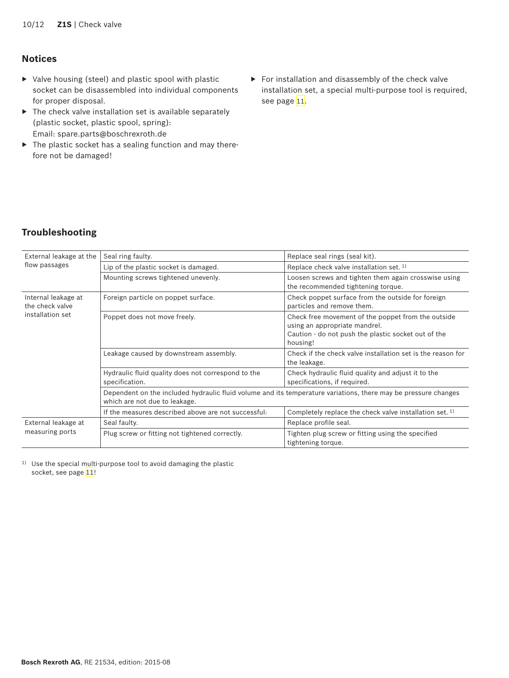# <span id="page-9-0"></span>**Notices**

- ▶ Valve housing (steel) and plastic spool with plastic socket can be disassembled into individual components for proper disposal.
- $\blacktriangleright$  The check valve installation set is available separately (plastic socket, plastic spool, spring): Email: spare.parts@boschrexroth.de
- ▶ The plastic socket has a sealing function and may therefore not be damaged!
- ▶ For installation and disassembly of the check valve installation set, a special multi-purpose tool is required, see page 11.

# **Troubleshooting**

| External leakage at the<br>flow passages                   | Seal ring faulty.                                                                                                                               | Replace seal rings (seal kit).                                                                                                                         |  |
|------------------------------------------------------------|-------------------------------------------------------------------------------------------------------------------------------------------------|--------------------------------------------------------------------------------------------------------------------------------------------------------|--|
|                                                            | Lip of the plastic socket is damaged.                                                                                                           | Replace check valve installation set. 1)                                                                                                               |  |
|                                                            | Mounting screws tightened unevenly.                                                                                                             | Loosen screws and tighten them again crosswise using<br>the recommended tightening torque.                                                             |  |
| Internal leakage at<br>the check valve<br>installation set | Foreign particle on poppet surface.                                                                                                             | Check poppet surface from the outside for foreign<br>particles and remove them.                                                                        |  |
|                                                            | Poppet does not move freely.                                                                                                                    | Check free movement of the poppet from the outside<br>using an appropriate mandrel.<br>Caution - do not push the plastic socket out of the<br>housing! |  |
|                                                            | Leakage caused by downstream assembly.                                                                                                          | Check if the check valve installation set is the reason for<br>the leakage.                                                                            |  |
|                                                            | Hydraulic fluid quality does not correspond to the<br>specification.                                                                            | Check hydraulic fluid quality and adjust it to the<br>specifications, if required.                                                                     |  |
|                                                            | Dependent on the included hydraulic fluid volume and its temperature variations, there may be pressure changes<br>which are not due to leakage. |                                                                                                                                                        |  |
|                                                            | If the measures described above are not successful:                                                                                             | Completely replace the check valve installation set. 1)                                                                                                |  |
| External leakage at<br>measuring ports                     | Seal faulty.                                                                                                                                    | Replace profile seal.                                                                                                                                  |  |
|                                                            | Plug screw or fitting not tightened correctly.                                                                                                  | Tighten plug screw or fitting using the specified<br>tightening torque.                                                                                |  |

1) Use the special multi-purpose tool to avoid damaging the plastic socket, see page 11!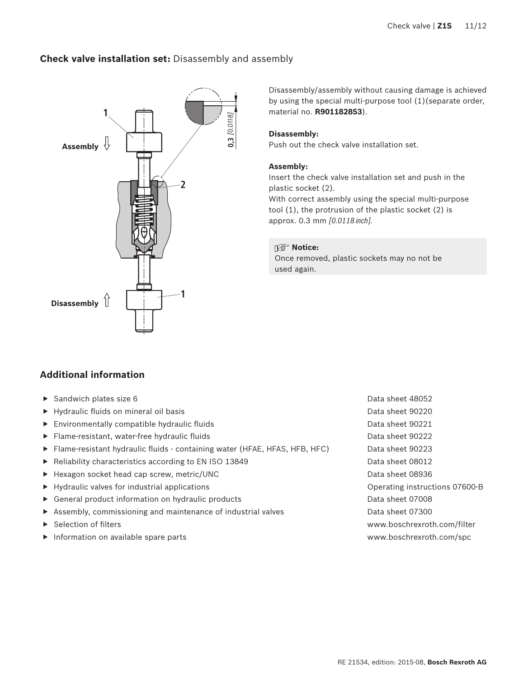### <span id="page-10-0"></span>**Check valve installation set:** Disassembly and assembly

![](_page_10_Figure_2.jpeg)

Disassembly/assembly without causing damage is achieved by using the special multi-purpose tool (1)(separate order, material no. **R901182853**).

### **Disassembly:**

Push out the check valve installation set.

### **Assembly:**

Insert the check valve installation set and push in the plastic socket (2).

With correct assembly using the special multi-purpose tool (1), the protrusion of the plastic socket (2) is approx. 0.3 mm *[0.0118 inch].*

### **I**f<sup></sup> Notice:

Once removed, plastic sockets may no not be used again.

### **Additional information**

- ▶ Sandwich plates size 6 Data sheet 48052
- ▶ Hydraulic fluids on mineral oil basis Data sheet 90220
- ▶ Environmentally compatible hydraulic fluids Data sheet 90221
- ▶ Flame-resistant, water-free hydraulic fluids Data sheet 90222
- ▶ Flame-resistant hydraulic fluids containing water (HFAE, HFAS, HFB, HFC) Data sheet 90223
- ▶ Reliability characteristics according to EN ISO 13849 Data sheet 08012
- ▶ Hexagon socket head cap screw, metric/UNC Data sheet 08936
- ▶ Hydraulic valves for industrial applications Operating instructions 07600-B
- ▶ General product information on hydraulic products Data sheet 07008
- ▶ Assembly, commissioning and maintenance of industrial valves Data sheet 07300
- 
- ▶ Information on available spare parts [www.boschrexroth.com/spc](http://)
- ▶ Selection of filters [www.boschrexroth.com/filter](http://)